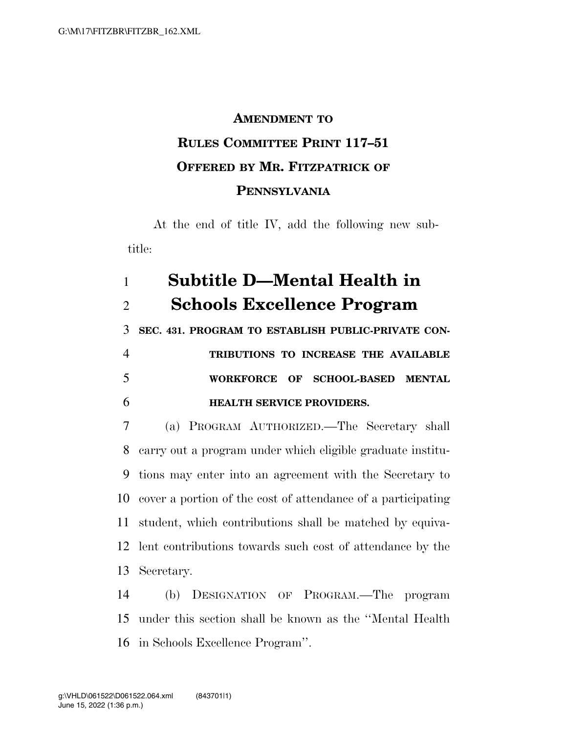## **AMENDMENT TO RULES COMMITTEE PRINT 117–51 OFFERED BY MR. FITZPATRICK OF PENNSYLVANIA**

At the end of title IV, add the following new subtitle:

## **Subtitle D—Mental Health in Schools Excellence Program**

**SEC. 431. PROGRAM TO ESTABLISH PUBLIC-PRIVATE CON-**

 **TRIBUTIONS TO INCREASE THE AVAILABLE WORKFORCE OF SCHOOL-BASED MENTAL HEALTH SERVICE PROVIDERS.** 

 (a) PROGRAM AUTHORIZED.—The Secretary shall carry out a program under which eligible graduate institu- tions may enter into an agreement with the Secretary to cover a portion of the cost of attendance of a participating student, which contributions shall be matched by equiva- lent contributions towards such cost of attendance by the Secretary.

 (b) DESIGNATION OF PROGRAM.—The program under this section shall be known as the ''Mental Health in Schools Excellence Program''.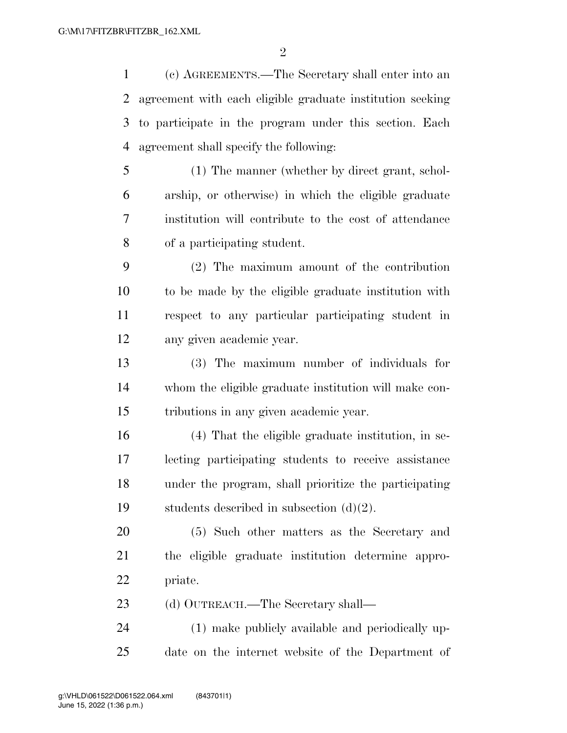(c) AGREEMENTS.—The Secretary shall enter into an agreement with each eligible graduate institution seeking to participate in the program under this section. Each agreement shall specify the following:

 (1) The manner (whether by direct grant, schol- arship, or otherwise) in which the eligible graduate institution will contribute to the cost of attendance of a participating student.

 (2) The maximum amount of the contribution to be made by the eligible graduate institution with respect to any particular participating student in any given academic year.

 (3) The maximum number of individuals for whom the eligible graduate institution will make con-tributions in any given academic year.

 (4) That the eligible graduate institution, in se- lecting participating students to receive assistance under the program, shall prioritize the participating 19 students described in subsection  $(d)(2)$ .

 (5) Such other matters as the Secretary and the eligible graduate institution determine appro-priate.

23 (d) OUTREACH.—The Secretary shall—

 (1) make publicly available and periodically up-date on the internet website of the Department of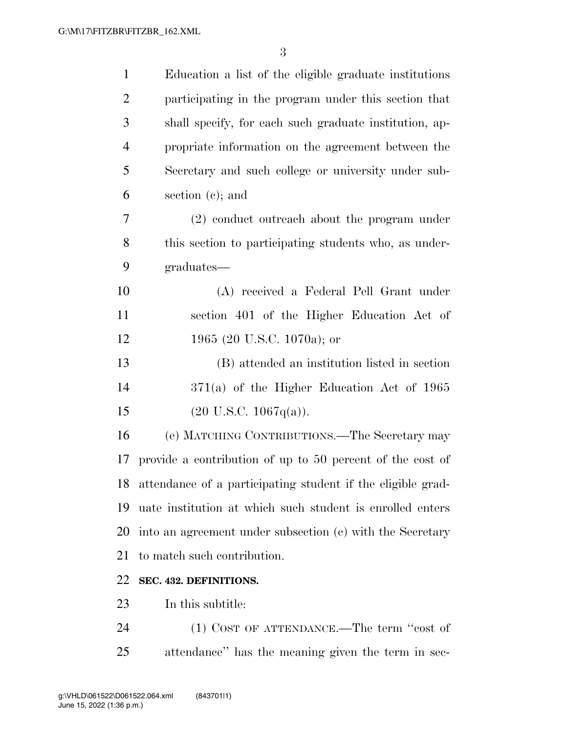| $\mathbf{1}$   | Education a list of the eligible graduate institutions         |
|----------------|----------------------------------------------------------------|
| $\overline{2}$ | participating in the program under this section that           |
| 3              | shall specify, for each such graduate institution, ap-         |
| $\overline{4}$ | propriate information on the agreement between the             |
| 5              | Secretary and such college or university under sub-            |
| 6              | section $(c)$ ; and                                            |
| 7              | $(2)$ conduct outreach about the program under                 |
| 8              | this section to participating students who, as under-          |
| 9              | graduates—                                                     |
| 10             | (A) received a Federal Pell Grant under                        |
| 11             | section 401 of the Higher Education Act of                     |
| 12             | 1965 (20 U.S.C. 1070a); or                                     |
| 13             | (B) attended an institution listed in section                  |
| 14             | $371(a)$ of the Higher Education Act of 1965                   |
| 15             | $(20 \text{ U.S.C. } 1067q(a)).$                               |
| 16             | (e) MATCHING CONTRIBUTIONS.—The Secretary may                  |
| 17             | provide a contribution of up to 50 percent of the cost of      |
|                | 18 attendance of a participating student if the eligible grad- |
| 19             | uate institution at which such student is enrolled enters      |
| 20             | into an agreement under subsection (c) with the Secretary      |
| 21             | to match such contribution.                                    |
| 22             | SEC. 432. DEFINITIONS.                                         |
| 23             | In this subtitle:                                              |
| 24             | (1) COST OF ATTENDANCE.—The term "cost of                      |
| 25             | attendance" has the meaning given the term in sec-             |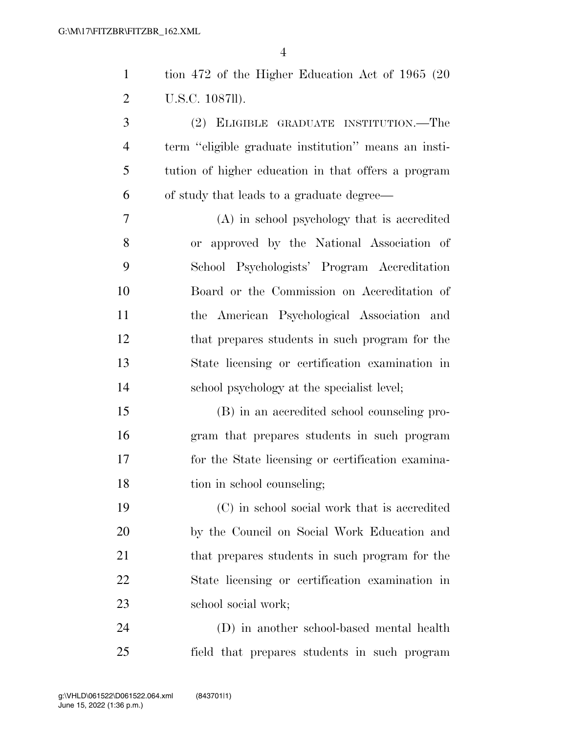| $\mathbf{1}$   | tion 472 of the Higher Education Act of 1965 (20     |
|----------------|------------------------------------------------------|
| $\overline{2}$ | U.S.C. 1087ll).                                      |
| 3              | (2) ELIGIBLE GRADUATE INSTITUTION.—The               |
| $\overline{4}$ | term "eligible graduate institution" means an insti- |
| 5              | tution of higher education in that offers a program  |
| 6              | of study that leads to a graduate degree—            |
| 7              | (A) in school psychology that is accredited          |
| 8              | or approved by the National Association of           |
| 9              | School Psychologists' Program Accreditation          |
| 10             | Board or the Commission on Accreditation of          |
| 11             | the American Psychological Association and           |
| 12             | that prepares students in such program for the       |
| 13             | State licensing or certification examination in      |
| 14             | school psychology at the specialist level;           |
| 15             | (B) in an accredited school counseling pro-          |
| 16             | gram that prepares students in such program          |
| 17             | for the State licensing or certification examina-    |
| 18             | tion in school counseling;                           |
| 19             | (C) in school social work that is accredited         |
| 20             | by the Council on Social Work Education and          |
| 21             | that prepares students in such program for the       |
| 22             | State licensing or certification examination in      |
| 23             | school social work;                                  |
| 24             | (D) in another school-based mental health            |
| 25             | field that prepares students in such program         |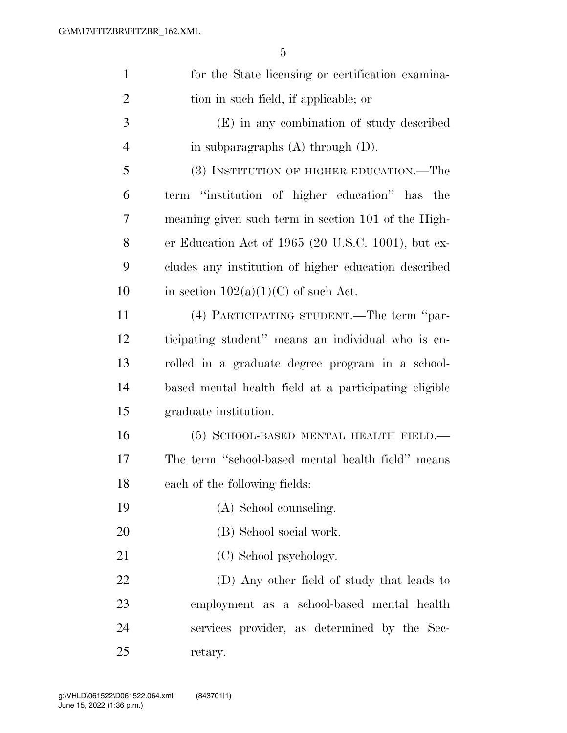| $\mathbf{1}$   | for the State licensing or certification examina-     |
|----------------|-------------------------------------------------------|
| $\overline{2}$ | tion in such field, if applicable; or                 |
| 3              | (E) in any combination of study described             |
| $\overline{4}$ | in subparagraphs $(A)$ through $(D)$ .                |
| 5              | (3) INSTITUTION OF HIGHER EDUCATION.—The              |
| 6              | term "institution of higher education" has the        |
| 7              | meaning given such term in section 101 of the High-   |
| 8              | er Education Act of 1965 (20 U.S.C. 1001), but ex-    |
| 9              | cludes any institution of higher education described  |
| 10             | in section $102(a)(1)(C)$ of such Act.                |
| 11             | (4) PARTICIPATING STUDENT.—The term "par-             |
| 12             | ticipating student" means an individual who is en-    |
| 13             | rolled in a graduate degree program in a school-      |
| 14             | based mental health field at a participating eligible |
| 15             | graduate institution.                                 |
| 16             | (5) SCHOOL-BASED MENTAL HEALTH FIELD.                 |
| 17             | The term "school-based mental health field" means     |
| 18             | each of the following fields:                         |
| 19             | (A) School counseling.                                |
| 20             | (B) School social work.                               |
| 21             | (C) School psychology.                                |
| 22             | (D) Any other field of study that leads to            |
| 23             | employment as a school-based mental health            |
| 24             | services provider, as determined by the Sec-          |
| 25             | retary.                                               |